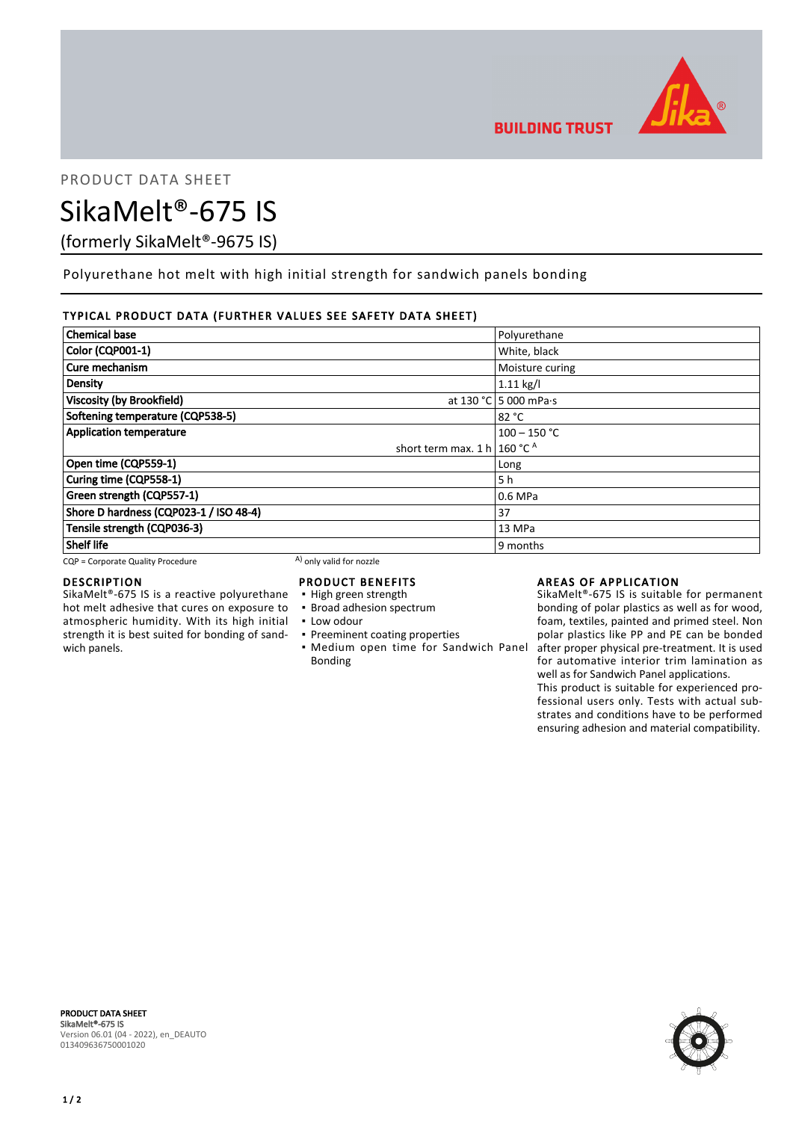

PRODUCT DATA SHEET

# SikaMelt®-675 IS

(formerly SikaMelt®-9675 IS)

Polyurethane hot melt with high initial strength for sandwich panels bonding

## TYPICAL PRODUCT DATA (FURTHER VALUES SEE SAFETY DATA SHEET)

| <b>Chemical base</b>                    | Polyurethane                  |
|-----------------------------------------|-------------------------------|
| <b>Color (CQP001-1)</b>                 | White, black                  |
| Cure mechanism                          | Moisture curing               |
| <b>Density</b>                          | $1.11$ kg/l                   |
| <b>Viscosity (by Brookfield)</b>        | at 130 °C 5 000 mPa $\cdot$ s |
| Softening temperature (CQP538-5)        | 82 °C                         |
| <b>Application temperature</b>          | $100 - 150$ °C                |
| short term max. 1 h   160 °C $^{\circ}$ |                               |
| Open time (CQP559-1)                    | Long                          |
| Curing time (CQP558-1)                  | 5 h                           |
| Green strength (CQP557-1)               | 0.6 MPa                       |
| Shore D hardness (CQP023-1 / ISO 48-4)  | 37                            |
| Tensile strength (CQP036-3)             | 13 MPa                        |
| <b>Shelf life</b>                       | 9 months                      |

 $CQP =$  Corporate Quality Procedure A) only valid for nozzle

### DESCRIPTION

SikaMelt®-675 IS is a reactive polyurethane hot melt adhesive that cures on exposure to atmospheric humidity. With its high initial strength it is best suited for bonding of sandwich panels.

# PRODUCT BENEFITS

- High green strength
- **· Broad adhesion spectrum**
- Low odour
- **Preeminent coating properties** • Medium open time for Sandwich Panel after proper physical pre-treatment. It is used Bonding

## AREAS OF APPLICATION

SikaMelt®-675 IS is suitable for permanent bonding of polar plastics as well as for wood, foam, textiles, painted and primed steel. Non polar plastics like PP and PE can be bonded for automative interior trim lamination as well as for Sandwich Panel applications.

This product is suitable for experienced professional users only. Tests with actual substrates and conditions have to be performed ensuring adhesion and material compatibility.



PRODUCT DATA SHEET SikaMelt®-675 IS Version 06.01 (04 - 2022), en\_DEAUTO 013409636750001020